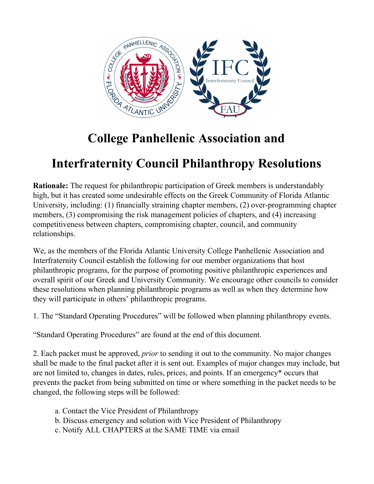

# **Interfraternity Council Philanthropy Resolutions**

**Rationale:** The request for philanthropic participation of Greek members is understandably high, but it has created some undesirable effects on the Greek Community of Florida Atlantic University, including: (1) financially straining chapter members, (2) over-programming chapter members, (3) compromising the risk management policies of chapters, and (4) increasing competitiveness between chapters, compromising chapter, council, and community relationships.

We, as the members of the Florida Atlantic University College Panhellenic Association and Interfraternity Council establish the following for our member organizations that host philanthropic programs, for the purpose of promoting positive philanthropic experiences and overall spirit of our Greek and University Community. We encourage other councils to consider these resolutions when planning philanthropic programs as well as when they determine how they will participate in others' philanthropic programs.

1. The "Standard Operating Procedures" will be followed when planning philanthropy events.

"Standard Operating Procedures" are found at the end of this document.

2. Each packet must be approved, *prior* to sending it out to the community. No major changes shall be made to the final packet after it is sent out. Examples of major changes may include, but are not limited to, changes in dates, rules, prices, and points. If an emergency\* occurs that prevents the packet from being submitted on time or where something in the packet needs to be changed, the following steps will be followed:

- a. Contact the Vice President of Philanthropy
- b. Discuss emergency and solution with Vice President of Philanthropy
- c. Notify ALL CHAPTERS at the SAME TIME via email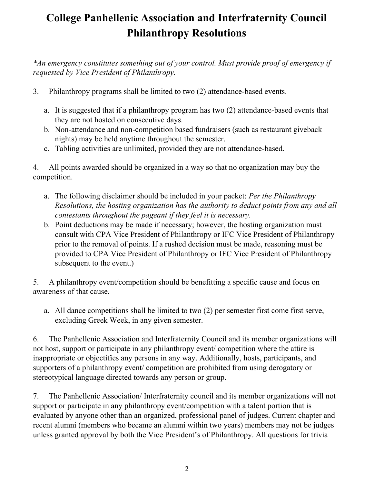*\*An emergency constitutes something out of your control. Must provide proof of emergency if requested by Vice President of Philanthropy.*

- 3. Philanthropy programs shall be limited to two (2) attendance-based events.
	- a. It is suggested that if a philanthropy program has two (2) attendance-based events that they are not hosted on consecutive days.
	- b. Non-attendance and non-competition based fundraisers (such as restaurant giveback nights) may be held anytime throughout the semester.
	- c. Tabling activities are unlimited, provided they are not attendance-based.

4. All points awarded should be organized in a way so that no organization may buy the competition.

- a. The following disclaimer should be included in your packet: *Per the Philanthropy Resolutions, the hosting organization has the authority to deduct points from any and all contestants throughout the pageant if they feel it is necessary.*
- b. Point deductions may be made if necessary; however, the hosting organization must consult with CPA Vice President of Philanthropy or IFC Vice President of Philanthropy prior to the removal of points. If a rushed decision must be made, reasoning must be provided to CPA Vice President of Philanthropy or IFC Vice President of Philanthropy subsequent to the event.)

5. A philanthropy event/competition should be benefitting a specific cause and focus on awareness of that cause.

a. All dance competitions shall be limited to two (2) per semester first come first serve, excluding Greek Week, in any given semester.

6. The Panhellenic Association and Interfraternity Council and its member organizations will not host, support or participate in any philanthropy event/ competition where the attire is inappropriate or objectifies any persons in any way. Additionally, hosts, participants, and supporters of a philanthropy event/ competition are prohibited from using derogatory or stereotypical language directed towards any person or group.

7. The Panhellenic Association/ Interfraternity council and its member organizations will not support or participate in any philanthropy event/competition with a talent portion that is evaluated by anyone other than an organized, professional panel of judges. Current chapter and recent alumni (members who became an alumni within two years) members may not be judges unless granted approval by both the Vice President's of Philanthropy. All questions for trivia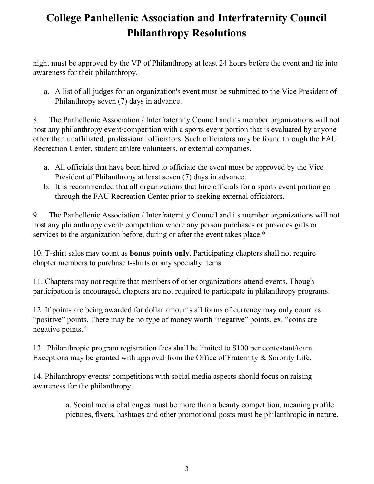night must be approved by the VP of Philanthropy at least 24 hours before the event and tie into awareness for their philanthropy.

a. A list of all judges for an organization's event must be submitted to the Vice President of Philanthropy seven (7) days in advance.

8. The Panhellenic Association / Interfraternity Council and its member organizations will not host any philanthropy event/competition with a sports event portion that is evaluated by anyone other than unaffiliated, professional officiators. Such officiators may be found through the FAU Recreation Center, student athlete volunteers, or external companies.

- a. All officials that have been hired to officiate the event must be approved by the Vice President of Philanthropy at least seven (7) days in advance.
- b. It is recommended that all organizations that hire officials for a sports event portion go through the FAU Recreation Center prior to seeking external officiators.

9. The Panhellenic Association / Interfraternity Council and its member organizations will not host any philanthropy event/ competition where any person purchases or provides gifts or services to the organization before, during or after the event takes place.\*

10. T-shirt sales may count as **bonus points only**. Participating chapters shall not require chapter members to purchase t-shirts or any specialty items.

11. Chapters may not require that members of other organizations attend events. Though participation is encouraged, chapters are not required to participate in philanthropy programs.

12. If points are being awarded for dollar amounts all forms of currency may only count as "positive" points. There may be no type of money worth "negative" points. ex. "coins are negative points."

13. Philanthropic program registration fees shall be limited to \$100 per contestant/team. Exceptions may be granted with approval from the Office of Fraternity & Sorority Life.

14. Philanthropy events/ competitions with social media aspects should focus on raising awareness for the philanthropy.

> a. Social media challenges must be more than a beauty competition, meaning profile pictures, flyers, hashtags and other promotional posts must be philanthropic in nature.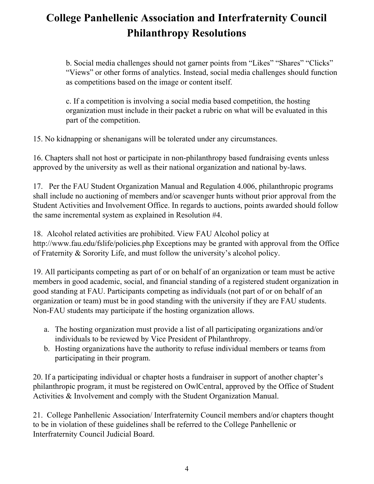b. Social media challenges should not garner points from "Likes" "Shares" "Clicks" "Views" or other forms of analytics. Instead, social media challenges should function as competitions based on the image or content itself.

c. If a competition is involving a social media based competition, the hosting organization must include in their packet a rubric on what will be evaluated in this part of the competition.

15. No kidnapping or shenanigans will be tolerated under any circumstances.

16. Chapters shall not host or participate in non-philanthropy based fundraising events unless approved by the university as well as their national organization and national by-laws.

17. Per the FAU Student Organization Manual and Regulation 4.006, philanthropic programs shall include no auctioning of members and/or scavenger hunts without prior approval from the Student Activities and Involvement Office. In regards to auctions, points awarded should follow the same incremental system as explained in Resolution #4.

18. Alcohol related activities are prohibited. View FAU Alcohol policy at http://www.fau.edu/fslife/policies.php Exceptions may be granted with approval from the Office of Fraternity & Sorority Life, and must follow the university's alcohol policy.

19. All participants competing as part of or on behalf of an organization or team must be active members in good academic, social, and financial standing of a registered student organization in good standing at FAU. Participants competing as individuals (not part of or on behalf of an organization or team) must be in good standing with the university if they are FAU students. Non-FAU students may participate if the hosting organization allows.

- a. The hosting organization must provide a list of all participating organizations and/or individuals to be reviewed by Vice President of Philanthropy.
- b. Hosting organizations have the authority to refuse individual members or teams from participating in their program.

20. If a participating individual or chapter hosts a fundraiser in support of another chapter's philanthropic program, it must be registered on OwlCentral, approved by the Office of Student Activities & Involvement and comply with the Student Organization Manual.

21. College Panhellenic Association/ Interfraternity Council members and/or chapters thought to be in violation of these guidelines shall be referred to the College Panhellenic or Interfraternity Council Judicial Board.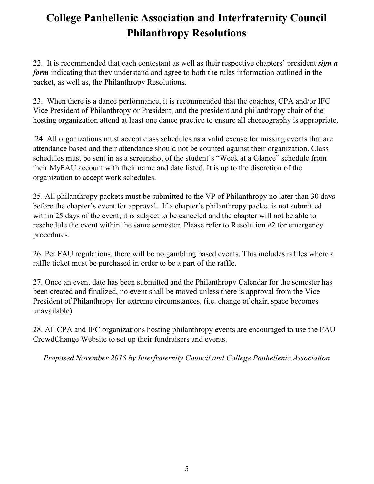22. It is recommended that each contestant as well as their respective chapters' president *sign a form* indicating that they understand and agree to both the rules information outlined in the packet, as well as, the Philanthropy Resolutions.

23. When there is a dance performance, it is recommended that the coaches, CPA and/or IFC Vice President of Philanthropy or President, and the president and philanthropy chair of the hosting organization attend at least one dance practice to ensure all choreography is appropriate.

24. All organizations must accept class schedules as a valid excuse for missing events that are attendance based and their attendance should not be counted against their organization. Class schedules must be sent in as a screenshot of the student's "Week at a Glance" schedule from their MyFAU account with their name and date listed. It is up to the discretion of the organization to accept work schedules.

25. All philanthropy packets must be submitted to the VP of Philanthropy no later than 30 days before the chapter's event for approval. If a chapter's philanthropy packet is not submitted within 25 days of the event, it is subject to be canceled and the chapter will not be able to reschedule the event within the same semester. Please refer to Resolution #2 for emergency procedures.

26. Per FAU regulations, there will be no gambling based events. This includes raffles where a raffle ticket must be purchased in order to be a part of the raffle.

27. Once an event date has been submitted and the Philanthropy Calendar for the semester has been created and finalized, no event shall be moved unless there is approval from the Vice President of Philanthropy for extreme circumstances. (i.e. change of chair, space becomes unavailable)

28. All CPA and IFC organizations hosting philanthropy events are encouraged to use the FAU CrowdChange Website to set up their fundraisers and events.

*Proposed November 2018 by Interfraternity Council and College Panhellenic Association*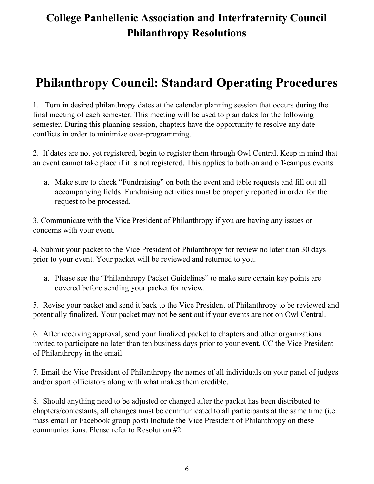# **Philanthropy Council: Standard Operating Procedures**

1. Turn in desired philanthropy dates at the calendar planning session that occurs during the final meeting of each semester. This meeting will be used to plan dates for the following semester. During this planning session, chapters have the opportunity to resolve any date conflicts in order to minimize over-programming.

2. If dates are not yet registered, begin to register them through Owl Central. Keep in mind that an event cannot take place if it is not registered. This applies to both on and off-campus events.

a. Make sure to check "Fundraising" on both the event and table requests and fill out all accompanying fields. Fundraising activities must be properly reported in order for the request to be processed.

3. Communicate with the Vice President of Philanthropy if you are having any issues or concerns with your event.

4. Submit your packet to the Vice President of Philanthropy for review no later than 30 days prior to your event. Your packet will be reviewed and returned to you.

a. Please see the "Philanthropy Packet Guidelines" to make sure certain key points are covered before sending your packet for review.

5. Revise your packet and send it back to the Vice President of Philanthropy to be reviewed and potentially finalized. Your packet may not be sent out if your events are not on Owl Central.

6. After receiving approval, send your finalized packet to chapters and other organizations invited to participate no later than ten business days prior to your event. CC the Vice President of Philanthropy in the email.

7. Email the Vice President of Philanthropy the names of all individuals on your panel of judges and/or sport officiators along with what makes them credible.

8. Should anything need to be adjusted or changed after the packet has been distributed to chapters/contestants, all changes must be communicated to all participants at the same time (i.e. mass email or Facebook group post) Include the Vice President of Philanthropy on these communications. Please refer to Resolution #2.